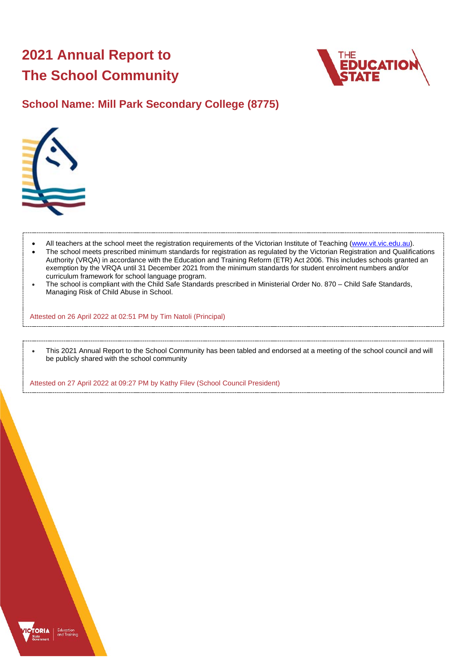# **2021 Annual Report to The School Community**



## **School Name: Mill Park Secondary College (8775)**



ORIA

- All teachers at the school meet the registration requirements of the Victorian Institute of Teaching [\(www.vit.vic.edu.au\)](https://www.vit.vic.edu.au/).
- The school meets prescribed minimum standards for registration as regulated by the Victorian Registration and Qualifications Authority (VRQA) in accordance with the Education and Training Reform (ETR) Act 2006. This includes schools granted an exemption by the VRQA until 31 December 2021 from the minimum standards for student enrolment numbers and/or curriculum framework for school language program.
- The school is compliant with the Child Safe Standards prescribed in Ministerial Order No. 870 Child Safe Standards, Managing Risk of Child Abuse in School.

Attested on 26 April 2022 at 02:51 PM by Tim Natoli (Principal)

• This 2021 Annual Report to the School Community has been tabled and endorsed at a meeting of the school council and will be publicly shared with the school community

Attested on 27 April 2022 at 09:27 PM by Kathy Filev (School Council President)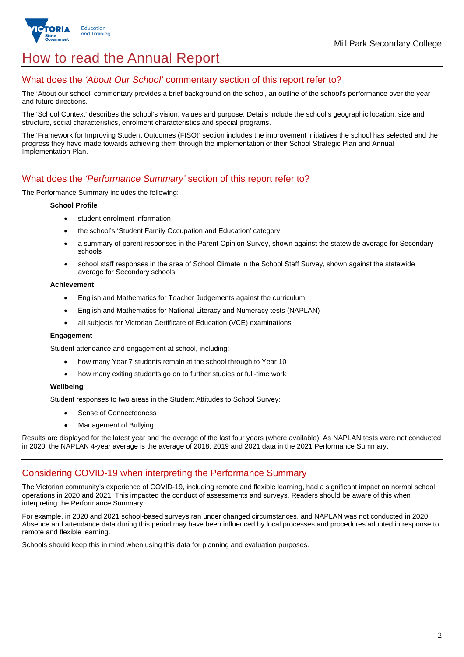

## How to read the Annual Report

## What does the *'About Our School'* commentary section of this report refer to?

The 'About our school' commentary provides a brief background on the school, an outline of the school's performance over the year and future directions.

The 'School Context' describes the school's vision, values and purpose. Details include the school's geographic location, size and structure, social characteristics, enrolment characteristics and special programs.

The 'Framework for Improving Student Outcomes (FISO)' section includes the improvement initiatives the school has selected and the progress they have made towards achieving them through the implementation of their School Strategic Plan and Annual Implementation Plan.

### What does the *'Performance Summary'* section of this report refer to?

The Performance Summary includes the following:

#### **School Profile**

- student enrolment information
- the school's 'Student Family Occupation and Education' category
- a summary of parent responses in the Parent Opinion Survey, shown against the statewide average for Secondary schools
- school staff responses in the area of School Climate in the School Staff Survey, shown against the statewide average for Secondary schools

#### **Achievement**

- English and Mathematics for Teacher Judgements against the curriculum
- English and Mathematics for National Literacy and Numeracy tests (NAPLAN)
- all subjects for Victorian Certificate of Education (VCE) examinations

#### **Engagement**

Student attendance and engagement at school, including:

- how many Year 7 students remain at the school through to Year 10
- how many exiting students go on to further studies or full-time work

#### **Wellbeing**

Student responses to two areas in the Student Attitudes to School Survey:

- Sense of Connectedness
- Management of Bullying

Results are displayed for the latest year and the average of the last four years (where available). As NAPLAN tests were not conducted in 2020, the NAPLAN 4-year average is the average of 2018, 2019 and 2021 data in the 2021 Performance Summary.

## Considering COVID-19 when interpreting the Performance Summary

The Victorian community's experience of COVID-19, including remote and flexible learning, had a significant impact on normal school operations in 2020 and 2021. This impacted the conduct of assessments and surveys. Readers should be aware of this when interpreting the Performance Summary.

For example, in 2020 and 2021 school-based surveys ran under changed circumstances, and NAPLAN was not conducted in 2020. Absence and attendance data during this period may have been influenced by local processes and procedures adopted in response to remote and flexible learning.

Schools should keep this in mind when using this data for planning and evaluation purposes.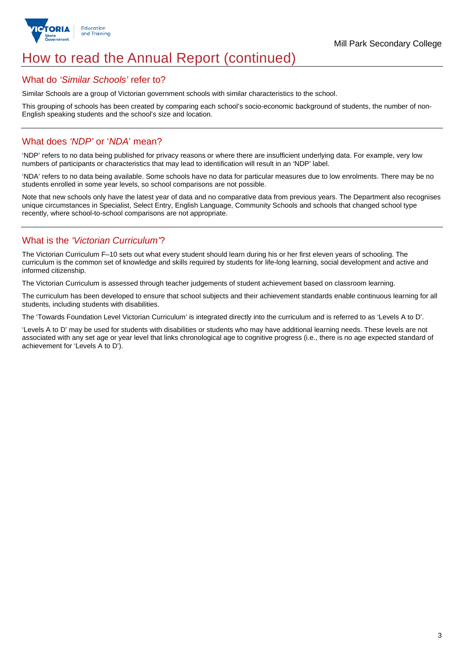

## How to read the Annual Report (continued)

#### What do *'Similar Schools'* refer to?

Similar Schools are a group of Victorian government schools with similar characteristics to the school.

This grouping of schools has been created by comparing each school's socio-economic background of students, the number of non-English speaking students and the school's size and location.

### What does *'NDP'* or '*NDA*' mean?

'NDP' refers to no data being published for privacy reasons or where there are insufficient underlying data. For example, very low numbers of participants or characteristics that may lead to identification will result in an 'NDP' label.

'NDA' refers to no data being available. Some schools have no data for particular measures due to low enrolments. There may be no students enrolled in some year levels, so school comparisons are not possible.

Note that new schools only have the latest year of data and no comparative data from previous years. The Department also recognises unique circumstances in Specialist, Select Entry, English Language, Community Schools and schools that changed school type recently, where school-to-school comparisons are not appropriate.

## What is the *'Victorian Curriculum'*?

The Victorian Curriculum F–10 sets out what every student should learn during his or her first eleven years of schooling. The curriculum is the common set of knowledge and skills required by students for life-long learning, social development and active and informed citizenship.

The Victorian Curriculum is assessed through teacher judgements of student achievement based on classroom learning.

The curriculum has been developed to ensure that school subjects and their achievement standards enable continuous learning for all students, including students with disabilities.

The 'Towards Foundation Level Victorian Curriculum' is integrated directly into the curriculum and is referred to as 'Levels A to D'.

'Levels A to D' may be used for students with disabilities or students who may have additional learning needs. These levels are not associated with any set age or year level that links chronological age to cognitive progress (i.e., there is no age expected standard of achievement for 'Levels A to D').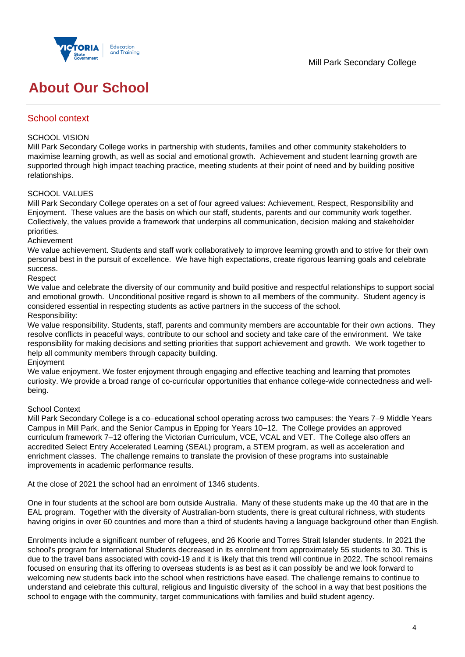

## **About Our School**

## School context

#### SCHOOL VISION

Mill Park Secondary College works in partnership with students, families and other community stakeholders to maximise learning growth, as well as social and emotional growth. Achievement and student learning growth are supported through high impact teaching practice, meeting students at their point of need and by building positive relationships.

### SCHOOL VALUES

Mill Park Secondary College operates on a set of four agreed values: Achievement, Respect, Responsibility and Enjoyment. These values are the basis on which our staff, students, parents and our community work together. Collectively, the values provide a framework that underpins all communication, decision making and stakeholder priorities.

Achievement

We value achievement. Students and staff work collaboratively to improve learning growth and to strive for their own personal best in the pursuit of excellence. We have high expectations, create rigorous learning goals and celebrate success.

Respect

We value and celebrate the diversity of our community and build positive and respectful relationships to support social and emotional growth. Unconditional positive regard is shown to all members of the community. Student agency is considered essential in respecting students as active partners in the success of the school. Responsibility:

We value responsibility. Students, staff, parents and community members are accountable for their own actions. They resolve conflicts in peaceful ways, contribute to our school and society and take care of the environment. We take responsibility for making decisions and setting priorities that support achievement and growth. We work together to help all community members through capacity building.

Enjoyment

We value enjoyment. We foster enjoyment through engaging and effective teaching and learning that promotes curiosity. We provide a broad range of co-curricular opportunities that enhance college-wide connectedness and wellbeing.

#### School Context

Mill Park Secondary College is a co–educational school operating across two campuses: the Years 7–9 Middle Years Campus in Mill Park, and the Senior Campus in Epping for Years 10–12. The College provides an approved curriculum framework 7–12 offering the Victorian Curriculum, VCE, VCAL and VET. The College also offers an accredited Select Entry Accelerated Learning (SEAL) program, a STEM program, as well as acceleration and enrichment classes. The challenge remains to translate the provision of these programs into sustainable improvements in academic performance results.

At the close of 2021 the school had an enrolment of 1346 students.

One in four students at the school are born outside Australia. Many of these students make up the 40 that are in the EAL program. Together with the diversity of Australian-born students, there is great cultural richness, with students having origins in over 60 countries and more than a third of students having a language background other than English.

Enrolments include a significant number of refugees, and 26 Koorie and Torres Strait Islander students. In 2021 the school's program for International Students decreased in its enrolment from approximately 55 students to 30. This is due to the travel bans associated with covid-19 and it is likely that this trend will continue in 2022. The school remains focused on ensuring that its offering to overseas students is as best as it can possibly be and we look forward to welcoming new students back into the school when restrictions have eased. The challenge remains to continue to understand and celebrate this cultural, religious and linguistic diversity of the school in a way that best positions the school to engage with the community, target communications with families and build student agency.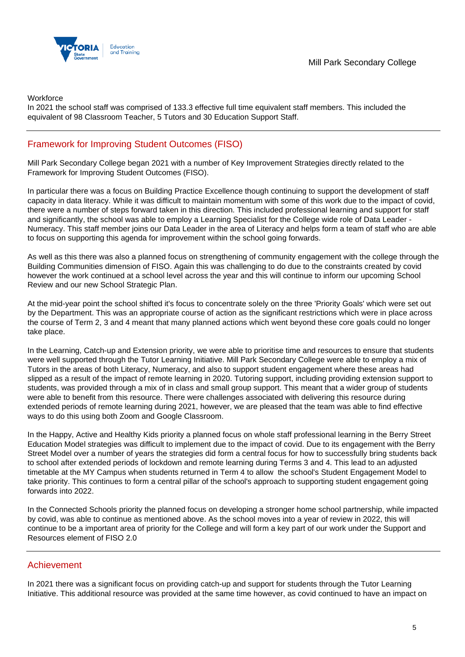

**Workforce** 

In 2021 the school staff was comprised of 133.3 effective full time equivalent staff members. This included the equivalent of 98 Classroom Teacher, 5 Tutors and 30 Education Support Staff.

## Framework for Improving Student Outcomes (FISO)

Mill Park Secondary College began 2021 with a number of Key Improvement Strategies directly related to the Framework for Improving Student Outcomes (FISO).

In particular there was a focus on Building Practice Excellence though continuing to support the development of staff capacity in data literacy. While it was difficult to maintain momentum with some of this work due to the impact of covid, there were a number of steps forward taken in this direction. This included professional learning and support for staff and significantly, the school was able to employ a Learning Specialist for the College wide role of Data Leader - Numeracy. This staff member joins our Data Leader in the area of Literacy and helps form a team of staff who are able to focus on supporting this agenda for improvement within the school going forwards.

As well as this there was also a planned focus on strengthening of community engagement with the college through the Building Communities dimension of FISO. Again this was challenging to do due to the constraints created by covid however the work continued at a school level across the year and this will continue to inform our upcoming School Review and our new School Strategic Plan.

At the mid-year point the school shifted it's focus to concentrate solely on the three 'Priority Goals' which were set out by the Department. This was an appropriate course of action as the significant restrictions which were in place across the course of Term 2, 3 and 4 meant that many planned actions which went beyond these core goals could no longer take place.

In the Learning, Catch-up and Extension priority, we were able to prioritise time and resources to ensure that students were well supported through the Tutor Learning Initiative. Mill Park Secondary College were able to employ a mix of Tutors in the areas of both Literacy, Numeracy, and also to support student engagement where these areas had slipped as a result of the impact of remote learning in 2020. Tutoring support, including providing extension support to students, was provided through a mix of in class and small group support. This meant that a wider group of students were able to benefit from this resource. There were challenges associated with delivering this resource during extended periods of remote learning during 2021, however, we are pleased that the team was able to find effective ways to do this using both Zoom and Google Classroom.

In the Happy, Active and Healthy Kids priority a planned focus on whole staff professional learning in the Berry Street Education Model strategies was difficult to implement due to the impact of covid. Due to its engagement with the Berry Street Model over a number of years the strategies did form a central focus for how to successfully bring students back to school after extended periods of lockdown and remote learning during Terms 3 and 4. This lead to an adjusted timetable at the MY Campus when students returned in Term 4 to allow the school's Student Engagement Model to take priority. This continues to form a central pillar of the school's approach to supporting student engagement going forwards into 2022.

In the Connected Schools priority the planned focus on developing a stronger home school partnership, while impacted by covid, was able to continue as mentioned above. As the school moves into a year of review in 2022, this will continue to be a important area of priority for the College and will form a key part of our work under the Support and Resources element of FISO 2.0

## Achievement

In 2021 there was a significant focus on providing catch-up and support for students through the Tutor Learning Initiative. This additional resource was provided at the same time however, as covid continued to have an impact on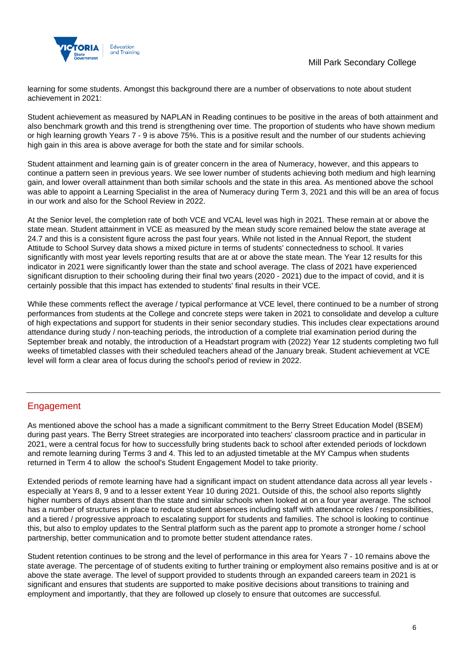

learning for some students. Amongst this background there are a number of observations to note about student achievement in 2021:

Student achievement as measured by NAPLAN in Reading continues to be positive in the areas of both attainment and also benchmark growth and this trend is strengthening over time. The proportion of students who have shown medium or high learning growth Years 7 - 9 is above 75%. This is a positive result and the number of our students achieving high gain in this area is above average for both the state and for similar schools.

Student attainment and learning gain is of greater concern in the area of Numeracy, however, and this appears to continue a pattern seen in previous years. We see lower number of students achieving both medium and high learning gain, and lower overall attainment than both similar schools and the state in this area. As mentioned above the school was able to appoint a Learning Specialist in the area of Numeracy during Term 3, 2021 and this will be an area of focus in our work and also for the School Review in 2022.

At the Senior level, the completion rate of both VCE and VCAL level was high in 2021. These remain at or above the state mean. Student attainment in VCE as measured by the mean study score remained below the state average at 24.7 and this is a consistent figure across the past four years. While not listed in the Annual Report, the student Attitude to School Survey data shows a mixed picture in terms of students' connectedness to school. It varies significantly with most year levels reporting results that are at or above the state mean. The Year 12 results for this indicator in 2021 were significantly lower than the state and school average. The class of 2021 have experienced significant disruption to their schooling during their final two years (2020 - 2021) due to the impact of covid, and it is certainly possible that this impact has extended to students' final results in their VCE.

While these comments reflect the average / typical performance at VCE level, there continued to be a number of strong performances from students at the College and concrete steps were taken in 2021 to consolidate and develop a culture of high expectations and support for students in their senior secondary studies. This includes clear expectations around attendance during study / non-teaching periods, the introduction of a complete trial examination period during the September break and notably, the introduction of a Headstart program with (2022) Year 12 students completing two full weeks of timetabled classes with their scheduled teachers ahead of the January break. Student achievement at VCE level will form a clear area of focus during the school's period of review in 2022.

## **Engagement**

As mentioned above the school has a made a significant commitment to the Berry Street Education Model (BSEM) during past years. The Berry Street strategies are incorporated into teachers' classroom practice and in particular in 2021, were a central focus for how to successfully bring students back to school after extended periods of lockdown and remote learning during Terms 3 and 4. This led to an adjusted timetable at the MY Campus when students returned in Term 4 to allow the school's Student Engagement Model to take priority.

Extended periods of remote learning have had a significant impact on student attendance data across all year levels especially at Years 8, 9 and to a lesser extent Year 10 during 2021. Outside of this, the school also reports slightly higher numbers of days absent than the state and similar schools when looked at on a four year average. The school has a number of structures in place to reduce student absences including staff with attendance roles / responsibilities, and a tiered / progressive approach to escalating support for students and families. The school is looking to continue this, but also to employ updates to the Sentral platform such as the parent app to promote a stronger home / school partnership, better communication and to promote better student attendance rates.

Student retention continues to be strong and the level of performance in this area for Years 7 - 10 remains above the state average. The percentage of of students exiting to further training or employment also remains positive and is at or above the state average. The level of support provided to students through an expanded careers team in 2021 is significant and ensures that students are supported to make positive decisions about transitions to training and employment and importantly, that they are followed up closely to ensure that outcomes are successful.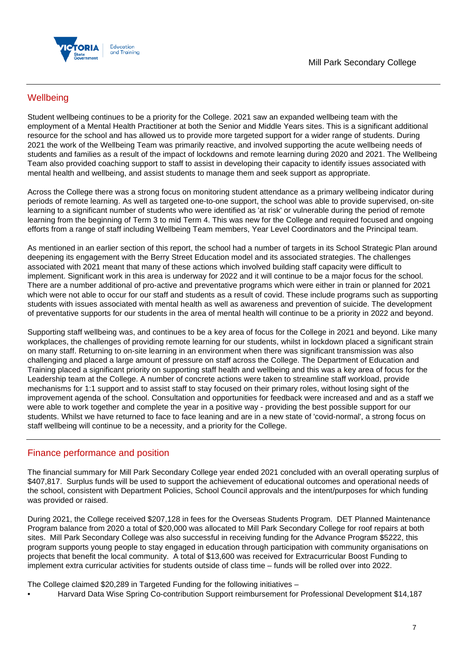

## **Wellbeing**

Student wellbeing continues to be a priority for the College. 2021 saw an expanded wellbeing team with the employment of a Mental Health Practitioner at both the Senior and Middle Years sites. This is a significant additional resource for the school and has allowed us to provide more targeted support for a wider range of students. During 2021 the work of the Wellbeing Team was primarily reactive, and involved supporting the acute wellbeing needs of students and families as a result of the impact of lockdowns and remote learning during 2020 and 2021. The Wellbeing Team also provided coaching support to staff to assist in developing their capacity to identify issues associated with mental health and wellbeing, and assist students to manage them and seek support as appropriate.

Across the College there was a strong focus on monitoring student attendance as a primary wellbeing indicator during periods of remote learning. As well as targeted one-to-one support, the school was able to provide supervised, on-site learning to a significant number of students who were identified as 'at risk' or vulnerable during the period of remote learning from the beginning of Term 3 to mid Term 4. This was new for the College and required focused and ongoing efforts from a range of staff including Wellbeing Team members, Year Level Coordinators and the Principal team.

As mentioned in an earlier section of this report, the school had a number of targets in its School Strategic Plan around deepening its engagement with the Berry Street Education model and its associated strategies. The challenges associated with 2021 meant that many of these actions which involved building staff capacity were difficult to implement. Significant work in this area is underway for 2022 and it will continue to be a major focus for the school. There are a number additional of pro-active and preventative programs which were either in train or planned for 2021 which were not able to occur for our staff and students as a result of covid. These include programs such as supporting students with issues associated with mental health as well as awareness and prevention of suicide. The development of preventative supports for our students in the area of mental health will continue to be a priority in 2022 and beyond.

Supporting staff wellbeing was, and continues to be a key area of focus for the College in 2021 and beyond. Like many workplaces, the challenges of providing remote learning for our students, whilst in lockdown placed a significant strain on many staff. Returning to on-site learning in an environment when there was significant transmission was also challenging and placed a large amount of pressure on staff across the College. The Department of Education and Training placed a significant priority on supporting staff health and wellbeing and this was a key area of focus for the Leadership team at the College. A number of concrete actions were taken to streamline staff workload, provide mechanisms for 1:1 support and to assist staff to stay focused on their primary roles, without losing sight of the improvement agenda of the school. Consultation and opportunities for feedback were increased and and as a staff we were able to work together and complete the year in a positive way - providing the best possible support for our students. Whilst we have returned to face to face leaning and are in a new state of 'covid-normal', a strong focus on staff wellbeing will continue to be a necessity, and a priority for the College.

## Finance performance and position

The financial summary for Mill Park Secondary College year ended 2021 concluded with an overall operating surplus of \$407,817. Surplus funds will be used to support the achievement of educational outcomes and operational needs of the school, consistent with Department Policies, School Council approvals and the intent/purposes for which funding was provided or raised.

During 2021, the College received \$207,128 in fees for the Overseas Students Program. DET Planned Maintenance Program balance from 2020 a total of \$20,000 was allocated to Mill Park Secondary College for roof repairs at both sites. Mill Park Secondary College was also successful in receiving funding for the Advance Program \$5222, this program supports young people to stay engaged in education through participation with community organisations on projects that benefit the local community. A total of \$13,600 was received for Extracurricular Boost Funding to implement extra curricular activities for students outside of class time – funds will be rolled over into 2022.

The College claimed \$20,289 in Targeted Funding for the following initiatives –

• Harvard Data Wise Spring Co-contribution Support reimbursement for Professional Development \$14,187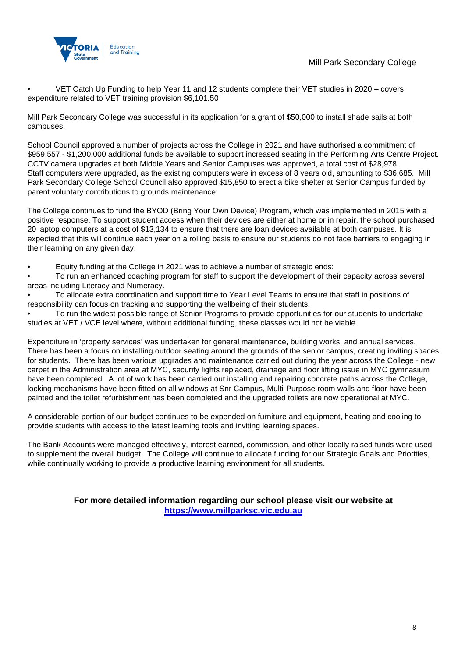

• VET Catch Up Funding to help Year 11 and 12 students complete their VET studies in 2020 – covers expenditure related to VET training provision \$6,101.50

Mill Park Secondary College was successful in its application for a grant of \$50,000 to install shade sails at both campuses.

School Council approved a number of projects across the College in 2021 and have authorised a commitment of \$959,557 - \$1,200,000 additional funds be available to support increased seating in the Performing Arts Centre Project. CCTV camera upgrades at both Middle Years and Senior Campuses was approved, a total cost of \$28,978. Staff computers were upgraded, as the existing computers were in excess of 8 years old, amounting to \$36,685. Mill Park Secondary College School Council also approved \$15,850 to erect a bike shelter at Senior Campus funded by parent voluntary contributions to grounds maintenance.

The College continues to fund the BYOD (Bring Your Own Device) Program, which was implemented in 2015 with a positive response. To support student access when their devices are either at home or in repair, the school purchased 20 laptop computers at a cost of \$13,134 to ensure that there are loan devices available at both campuses. It is expected that this will continue each year on a rolling basis to ensure our students do not face barriers to engaging in their learning on any given day.

• Equity funding at the College in 2021 was to achieve a number of strategic ends:

• To run an enhanced coaching program for staff to support the development of their capacity across several areas including Literacy and Numeracy.

• To allocate extra coordination and support time to Year Level Teams to ensure that staff in positions of responsibility can focus on tracking and supporting the wellbeing of their students.

• To run the widest possible range of Senior Programs to provide opportunities for our students to undertake studies at VET / VCE level where, without additional funding, these classes would not be viable.

Expenditure in 'property services' was undertaken for general maintenance, building works, and annual services. There has been a focus on installing outdoor seating around the grounds of the senior campus, creating inviting spaces for students. There has been various upgrades and maintenance carried out during the year across the College - new carpet in the Administration area at MYC, security lights replaced, drainage and floor lifting issue in MYC gymnasium have been completed. A lot of work has been carried out installing and repairing concrete paths across the College, locking mechanisms have been fitted on all windows at Snr Campus, Multi-Purpose room walls and floor have been painted and the toilet refurbishment has been completed and the upgraded toilets are now operational at MYC.

A considerable portion of our budget continues to be expended on furniture and equipment, heating and cooling to provide students with access to the latest learning tools and inviting learning spaces.

The Bank Accounts were managed effectively, interest earned, commission, and other locally raised funds were used to supplement the overall budget. The College will continue to allocate funding for our Strategic Goals and Priorities, while continually working to provide a productive learning environment for all students.

> **For more detailed information regarding our school please visit our website at [https://www.millparksc.vic.edu.au](https://www.millparksc.vic.edu.au/)**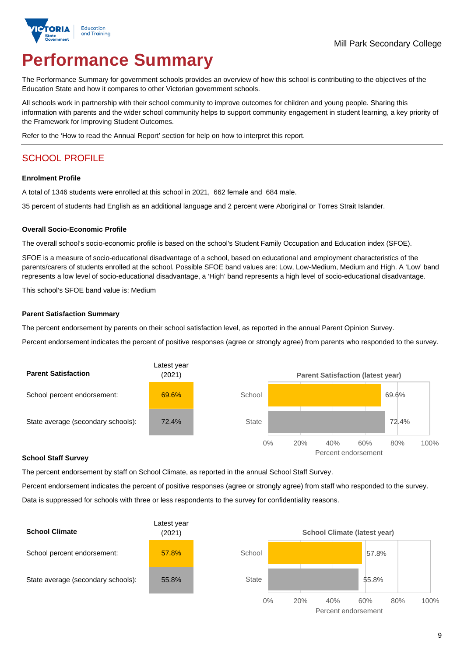

# **Performance Summary**

The Performance Summary for government schools provides an overview of how this school is contributing to the objectives of the Education State and how it compares to other Victorian government schools.

All schools work in partnership with their school community to improve outcomes for children and young people. Sharing this information with parents and the wider school community helps to support community engagement in student learning, a key priority of the Framework for Improving Student Outcomes.

Refer to the 'How to read the Annual Report' section for help on how to interpret this report.

## SCHOOL PROFILE

#### **Enrolment Profile**

A total of 1346 students were enrolled at this school in 2021, 662 female and 684 male.

35 percent of students had English as an additional language and 2 percent were Aboriginal or Torres Strait Islander.

#### **Overall Socio-Economic Profile**

The overall school's socio-economic profile is based on the school's Student Family Occupation and Education index (SFOE).

SFOE is a measure of socio-educational disadvantage of a school, based on educational and employment characteristics of the parents/carers of students enrolled at the school. Possible SFOE band values are: Low, Low-Medium, Medium and High. A 'Low' band represents a low level of socio-educational disadvantage, a 'High' band represents a high level of socio-educational disadvantage.

This school's SFOE band value is: Medium

#### **Parent Satisfaction Summary**

The percent endorsement by parents on their school satisfaction level, as reported in the annual Parent Opinion Survey.

Percent endorsement indicates the percent of positive responses (agree or strongly agree) from parents who responded to the survey.



#### **School Staff Survey**

The percent endorsement by staff on School Climate, as reported in the annual School Staff Survey.

Percent endorsement indicates the percent of positive responses (agree or strongly agree) from staff who responded to the survey. Data is suppressed for schools with three or less respondents to the survey for confidentiality reasons.

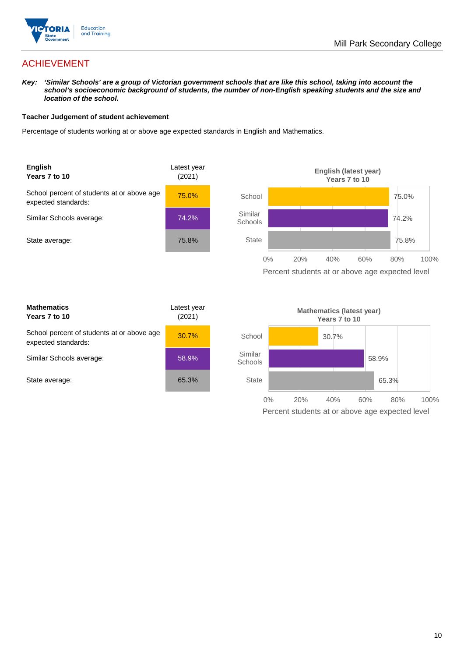

## ACHIEVEMENT

*Key: 'Similar Schools' are a group of Victorian government schools that are like this school, taking into account the*  school's socioeconomic background of students, the number of non-English speaking students and the size and *location of the school.*

#### **Teacher Judgement of student achievement**

Percentage of students working at or above age expected standards in English and Mathematics.



| <b>Mathematics</b><br>Years 7 to 10                               | Latest year<br>(2021) |  |
|-------------------------------------------------------------------|-----------------------|--|
| School percent of students at or above age<br>expected standards: | 30.7%                 |  |
| Similar Schools average:                                          | 58.9%                 |  |
| State average:                                                    | 65.3%                 |  |

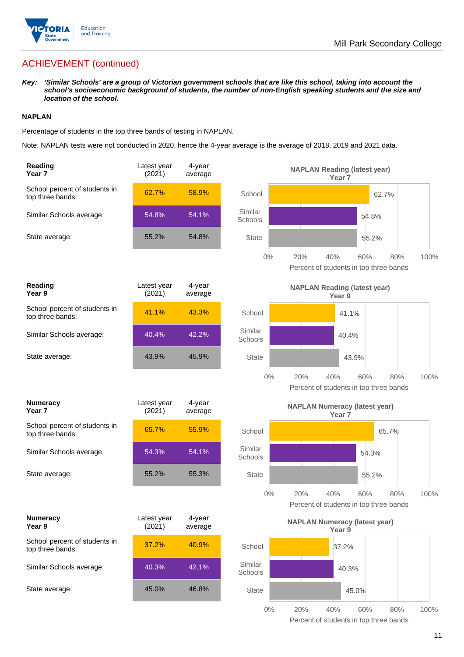

## ACHIEVEMENT (continued)

*Key: 'Similar Schools' are a group of Victorian government schools that are like this school, taking into account the school's socioeconomic background of students, the number of non-English speaking students and the size and location of the school.*

#### **NAPLAN**

Percentage of students in the top three bands of testing in NAPLAN.

Note: NAPLAN tests were not conducted in 2020, hence the 4-year average is the average of 2018, 2019 and 2021 data.

| Reading<br>Year <sub>7</sub>                      | Latest year<br>(2021) | 4-year<br>average |                    | <b>NAPLAN Reading (latest year)</b>                  | Year 7            |       |      |
|---------------------------------------------------|-----------------------|-------------------|--------------------|------------------------------------------------------|-------------------|-------|------|
| School percent of students in<br>top three bands: | 62.7%                 | 58.9%             | School             |                                                      |                   | 62.7% |      |
| Similar Schools average:                          | 54.8%                 | 54.1%             | Similar<br>Schools |                                                      | 54.8%             |       |      |
| State average:                                    | 55.2%                 | 54.8%             | <b>State</b>       |                                                      | 55.2%             |       |      |
|                                                   |                       |                   | 0%                 | 20%<br>40%<br>Percent of students in top three bands | 60%               | 80%   | 100% |
| Reading<br>Year 9                                 | Latest year<br>(2021) | 4-year<br>average |                    | <b>NAPLAN Reading (latest year)</b>                  | Year 9            |       |      |
| School percent of students in<br>top three bands: | 41.1%                 | 43.3%             | School             |                                                      | 41.1%             |       |      |
| Similar Schools average:                          | 40.4%                 | 42.2%             | Similar<br>Schools |                                                      | 40.4%             |       |      |
| State average:                                    | 43.9%                 | 45.9%             | <b>State</b>       |                                                      | 43.9%             |       |      |
|                                                   |                       |                   | 0%                 | 20%<br>40%<br>Percent of students in top three bands | 60%               | 80%   | 100% |
| <b>Numeracy</b><br>Year <sub>7</sub>              | Latest year<br>(2021) | 4-year<br>average |                    | <b>NAPLAN Numeracy (latest year)</b>                 | Year <sub>7</sub> |       |      |
| School percent of students in<br>top three bands: | 65.7%                 | 55.9%             | School             |                                                      |                   | 65.7% |      |
| Similar Schools average:                          | 54.3%                 | 54.1%             | Similar<br>Schools |                                                      | 54.3%             |       |      |
| State average:                                    | 55.2%                 | 55.3%             | <b>State</b>       |                                                      | 55.2%             |       |      |
|                                                   |                       |                   | 0%                 | 20%<br>40%<br>Percent of students in top three bands | 60%               | 80%   | 100% |
| <b>Numeracy</b><br>Year 9                         | Latest year<br>(2021) | 4-year<br>average |                    | <b>NAPLAN Numeracy (latest year)</b>                 | Year 9            |       |      |
| School percent of students in<br>top three bands: | 37.2%                 | 40.9%             | School             |                                                      | 37.2%             |       |      |
| Similar Schools average:                          | 40.3%                 | 42.1%             | Similar<br>Schools |                                                      | 40.3%             |       |      |
| State average:                                    | 45.0%                 | 46.8%             | <b>State</b>       |                                                      | 45.0%             |       |      |
|                                                   |                       |                   | $0\%$              | 20%<br>40%                                           | 60%               | 80%   | 100% |

Percent of students in top three bands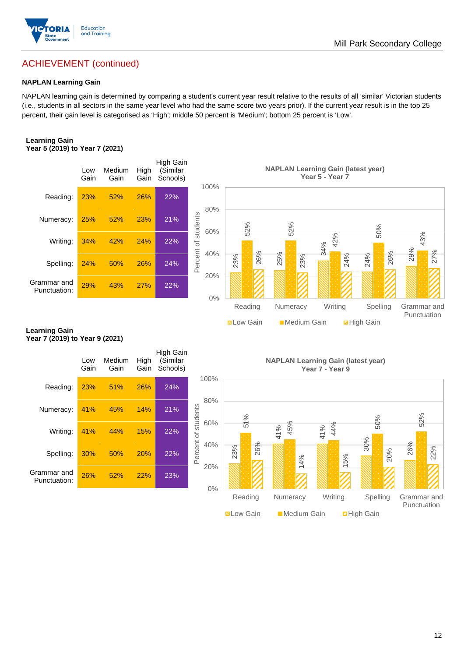

## ACHIEVEMENT (continued)

#### **NAPLAN Learning Gain**

NAPLAN learning gain is determined by comparing a student's current year result relative to the results of all 'similar' Victorian students (i.e., students in all sectors in the same year level who had the same score two years prior). If the current year result is in the top 25 percent, their gain level is categorised as 'High'; middle 50 percent is 'Medium'; bottom 25 percent is 'Low'.

#### **Learning Gain Year 5 (2019) to Year 7 (2021)**



**N** Low Gain **Medium Gain Example 1** 

#### **Learning Gain Year 7 (2019) to Year 9 (2021)**

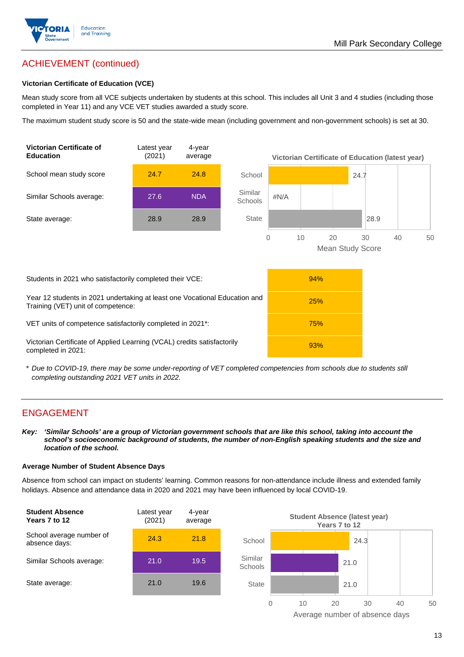

## ACHIEVEMENT (continued)

#### **Victorian Certificate of Education (VCE)**

Mean study score from all VCE subjects undertaken by students at this school. This includes all Unit 3 and 4 studies (including those completed in Year 11) and any VCE VET studies awarded a study score.

The maximum student study score is 50 and the state-wide mean (including government and non-government schools) is set at 30.



\* *Due to COVID-19, there may be some under-reporting of VET completed competencies from schools due to students still completing outstanding 2021 VET units in 2022.*

## ENGAGEMENT

*Key: 'Similar Schools' are a group of Victorian government schools that are like this school, taking into account the school's socioeconomic background of students, the number of non-English speaking students and the size and location of the school.*

#### **Average Number of Student Absence Days**

Absence from school can impact on students' learning. Common reasons for non-attendance include illness and extended family holidays. Absence and attendance data in 2020 and 2021 may have been influenced by local COVID-19.



Average number of absence days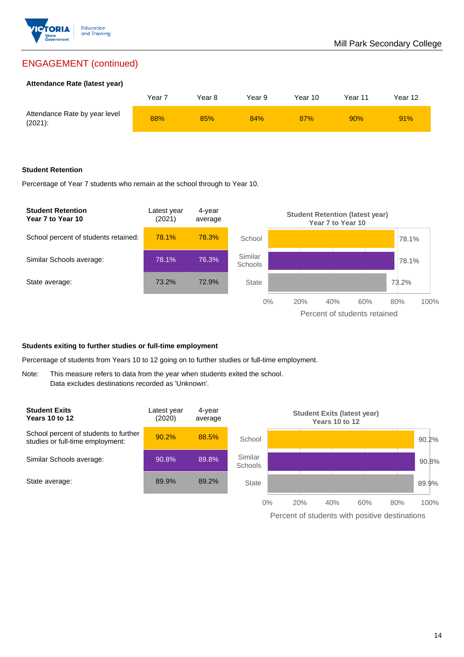

## ENGAGEMENT (continued)

#### **Attendance Rate (latest year)**

|                                             | Year 7 | Year 8 | Year 9 | Year 10 | Year 11 | Year 12 |
|---------------------------------------------|--------|--------|--------|---------|---------|---------|
| Attendance Rate by year level<br>$(2021)$ : | 88%    | 85%    | 84%    | 87%     | 90%     | 91%     |

#### **Student Retention**

Percentage of Year 7 students who remain at the school through to Year 10.



#### **Students exiting to further studies or full-time employment**

Percentage of students from Years 10 to 12 going on to further studies or full-time employment.

Note: This measure refers to data from the year when students exited the school. Data excludes destinations recorded as 'Unknown'.

| <b>Student Exits</b><br><b>Years 10 to 12</b>                             | ∟atest year<br>(2020) | 4-year<br>average |                           |     | Years 10 to 12 | <b>Student Exits (latest year)</b> |     |       |
|---------------------------------------------------------------------------|-----------------------|-------------------|---------------------------|-----|----------------|------------------------------------|-----|-------|
| School percent of students to further<br>studies or full-time employment: | 90.2%                 | 88.5%             | School                    |     |                |                                    |     | 90.2% |
| Similar Schools average:                                                  | 90.8%                 | 89.8%             | Similar<br><b>Schools</b> |     |                |                                    |     | 90.8% |
| State average:                                                            | 89.9%                 | 89.2%             | State                     |     |                |                                    |     | 89.9% |
|                                                                           |                       |                   | $0\%$                     | 20% | 40%            | 60%                                | 80% | 100%  |

Percent of students with positive destinations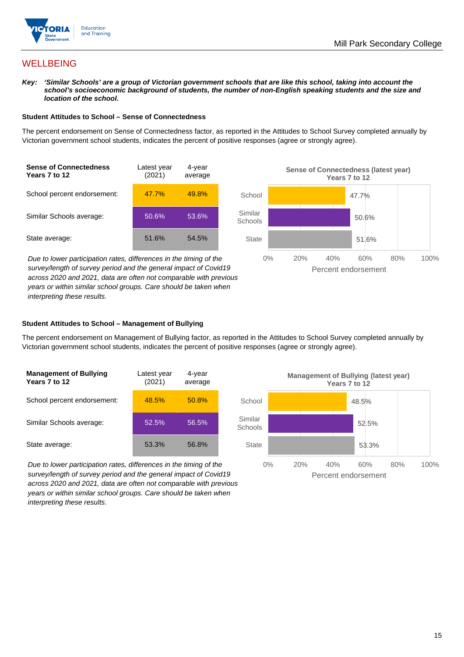

## **WELLBEING**

*Key: 'Similar Schools' are a group of Victorian government schools that are like this school, taking into account the*  school's socioeconomic background of students, the number of non-English speaking students and the size and *location of the school.*

#### **Student Attitudes to School – Sense of Connectedness**

The percent endorsement on Sense of Connectedness factor, as reported in the Attitudes to School Survey completed annually by Victorian government school students, indicates the percent of positive responses (agree or strongly agree).



*Due to lower participation rates, differences in the timing of the survey/length of survey period and the general impact of Covid19 across 2020 and 2021, data are often not comparable with previous years or within similar school groups. Care should be taken when interpreting these results.*



#### **Student Attitudes to School – Management of Bullying**

The percent endorsement on Management of Bullying factor, as reported in the Attitudes to School Survey completed annually by Victorian government school students, indicates the percent of positive responses (agree or strongly agree).

| <b>Management of Bullying</b><br>Years 7 to 12 | Latest year<br>(2021) | 4-year<br>average |  |
|------------------------------------------------|-----------------------|-------------------|--|
| School percent endorsement:                    | 48.5%                 | 50.8%             |  |
| Similar Schools average:                       | 52.5%                 | 56.5%             |  |
| State average:                                 | 53.3%                 | 56.8%             |  |

*Due to lower participation rates, differences in the timing of the survey/length of survey period and the general impact of Covid19 across 2020 and 2021, data are often not comparable with previous years or within similar school groups. Care should be taken when interpreting these results.*

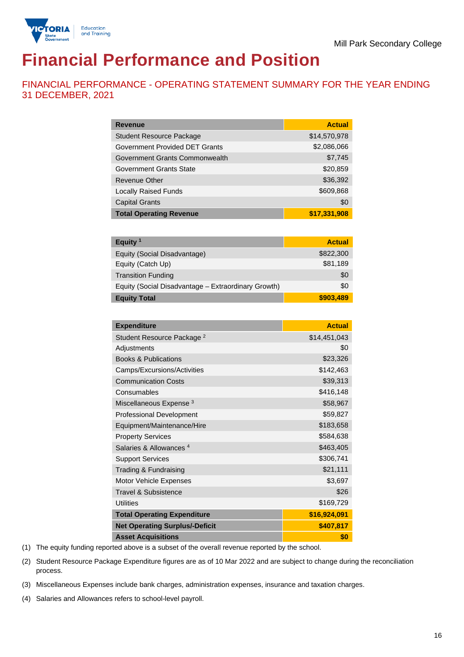

# **Financial Performance and Position**

FINANCIAL PERFORMANCE - OPERATING STATEMENT SUMMARY FOR THE YEAR ENDING 31 DECEMBER, 2021

| <b>Revenue</b>                  | <b>Actual</b> |
|---------------------------------|---------------|
| <b>Student Resource Package</b> | \$14,570,978  |
| Government Provided DET Grants  | \$2,086,066   |
| Government Grants Commonwealth  | \$7,745       |
| <b>Government Grants State</b>  | \$20,859      |
| Revenue Other                   | \$36,392      |
| <b>Locally Raised Funds</b>     | \$609,868     |
| <b>Capital Grants</b>           | \$0           |
| <b>Total Operating Revenue</b>  | \$17,331,908  |

| Equity $1$                                          | <b>Actual</b> |
|-----------------------------------------------------|---------------|
| Equity (Social Disadvantage)                        | \$822,300     |
| Equity (Catch Up)                                   | \$81,189      |
| <b>Transition Funding</b>                           | \$0           |
| Equity (Social Disadvantage - Extraordinary Growth) | \$0           |
| <b>Equity Total</b>                                 | \$903,489     |

| <b>Expenditure</b>                    | <b>Actual</b> |
|---------------------------------------|---------------|
| Student Resource Package <sup>2</sup> | \$14,451,043  |
| Adjustments                           | \$0           |
| <b>Books &amp; Publications</b>       | \$23,326      |
| Camps/Excursions/Activities           | \$142,463     |
| <b>Communication Costs</b>            | \$39,313      |
| Consumables                           | \$416,148     |
| Miscellaneous Expense <sup>3</sup>    | \$58,967      |
| <b>Professional Development</b>       | \$59,827      |
| Equipment/Maintenance/Hire            | \$183,658     |
| <b>Property Services</b>              | \$584,638     |
| Salaries & Allowances <sup>4</sup>    | \$463,405     |
| <b>Support Services</b>               | \$306,741     |
| Trading & Fundraising                 | \$21,111      |
| Motor Vehicle Expenses                | \$3,697       |
| <b>Travel &amp; Subsistence</b>       | \$26          |
| <b>Utilities</b>                      | \$169,729     |
| <b>Total Operating Expenditure</b>    | \$16,924,091  |
| <b>Net Operating Surplus/-Deficit</b> | \$407,817     |
| <b>Asset Acquisitions</b>             | \$0           |

(1) The equity funding reported above is a subset of the overall revenue reported by the school.

(2) Student Resource Package Expenditure figures are as of 10 Mar 2022 and are subject to change during the reconciliation process.

(3) Miscellaneous Expenses include bank charges, administration expenses, insurance and taxation charges.

(4) Salaries and Allowances refers to school-level payroll.